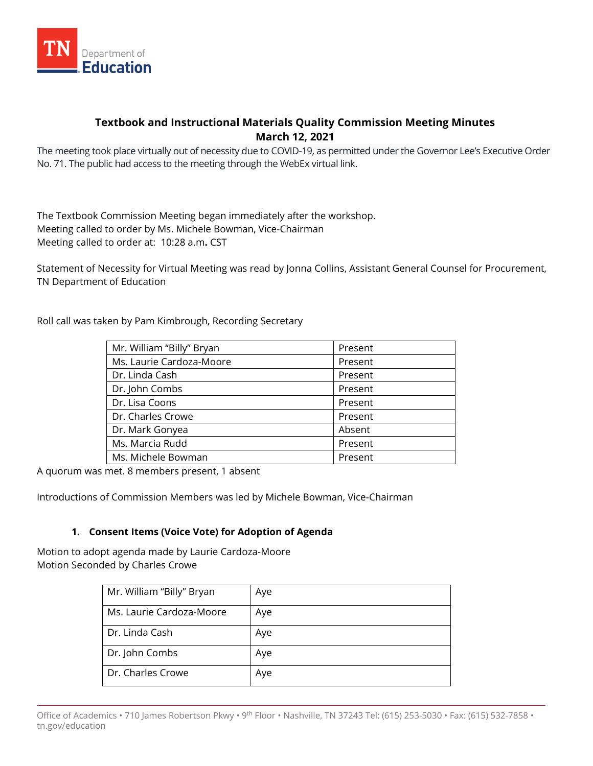

# **Textbook and Instructional Materials Quality Commission Meeting Minutes March 12, 2021**

The meeting took place virtually out of necessity due to COVID-19, as permitted under the Governor Lee's Executive Order No. 71. The public had access to the meeting through the WebEx virtual link.

The Textbook Commission Meeting began immediately after the workshop. Meeting called to order by Ms. Michele Bowman, Vice-Chairman Meeting called to order at: 10:28 a.m**.** CST

Statement of Necessity for Virtual Meeting was read by Jonna Collins, Assistant General Counsel for Procurement, TN Department of Education

Roll call was taken by Pam Kimbrough, Recording Secretary

| Mr. William "Billy" Bryan | Present |
|---------------------------|---------|
| Ms. Laurie Cardoza-Moore  | Present |
| Dr. Linda Cash            | Present |
| Dr. John Combs            | Present |
| Dr. Lisa Coons            | Present |
| Dr. Charles Crowe         | Present |
| Dr. Mark Gonyea           | Absent  |
| Ms. Marcia Rudd           | Present |
| Ms. Michele Bowman        | Present |

A quorum was met. 8 members present, 1 absent

Introductions of Commission Members was led by Michele Bowman, Vice-Chairman

## **1. Consent Items (Voice Vote) for Adoption of Agenda**

Motion to adopt agenda made by Laurie Cardoza-Moore Motion Seconded by Charles Crowe

| Mr. William "Billy" Bryan | Aye |
|---------------------------|-----|
| Ms. Laurie Cardoza-Moore  | Aye |
| Dr. Linda Cash            | Aye |
| Dr. John Combs            | Aye |
| Dr. Charles Crowe         | Aye |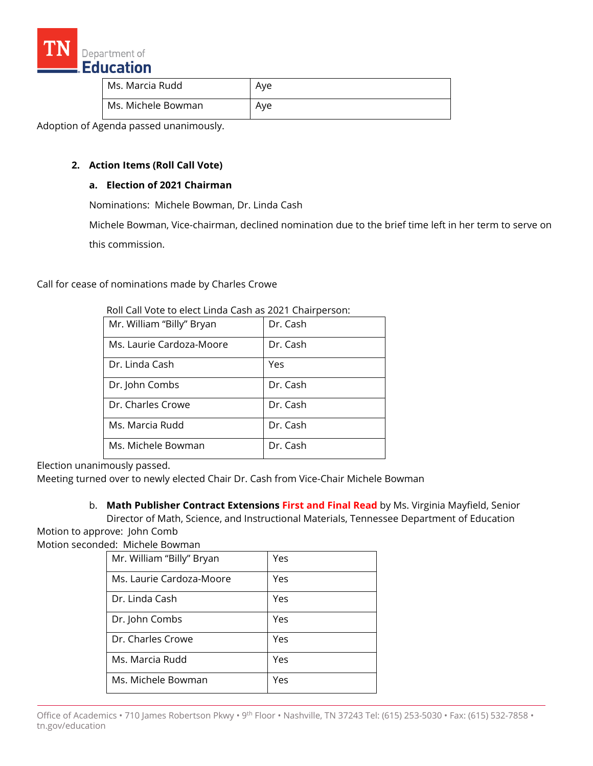

| Ms. Marcia Rudd    | Ave |
|--------------------|-----|
| Ms. Michele Bowman | Ave |

Adoption of Agenda passed unanimously.

### **2. Action Items (Roll Call Vote)**

## **a. Election of 2021 Chairman**

Nominations: Michele Bowman, Dr. Linda Cash

Michele Bowman, Vice-chairman, declined nomination due to the brief time left in her term to serve on this commission.

Call for cease of nominations made by Charles Crowe

| <u>ROIL CAIL VOLE LO EIECL LITIUA CASIT AS ZUZ E CHAILDEESOIT.</u> |          |  |
|--------------------------------------------------------------------|----------|--|
| Mr. William "Billy" Bryan                                          | Dr. Cash |  |
| Ms. Laurie Cardoza-Moore                                           | Dr. Cash |  |
| Dr. Linda Cash                                                     | Yes      |  |
| Dr. John Combs                                                     | Dr. Cash |  |
| Dr. Charles Crowe                                                  | Dr. Cash |  |
| Ms. Marcia Rudd                                                    | Dr. Cash |  |
| Ms. Michele Bowman                                                 | Dr. Cash |  |

Roll Call Vote to elect Linda Cash as 2021 Chairperson:

Election unanimously passed.

Meeting turned over to newly elected Chair Dr. Cash from Vice-Chair Michele Bowman

b. **Math Publisher Contract Extensions First and Final Read** by Ms. Virginia Mayfield, Senior Director of Math, Science, and Instructional Materials, Tennessee Department of Education

Motion to approve: John Comb

Motion seconded: Michele Bowman

| Mr. William "Billy" Bryan | Yes |
|---------------------------|-----|
| Ms. Laurie Cardoza-Moore  | Yes |
| Dr. Linda Cash            | Yes |
| Dr. John Combs            | Yes |
| Dr. Charles Crowe         | Yes |
| Ms. Marcia Rudd           | Yes |
| Ms. Michele Bowman        | Yes |